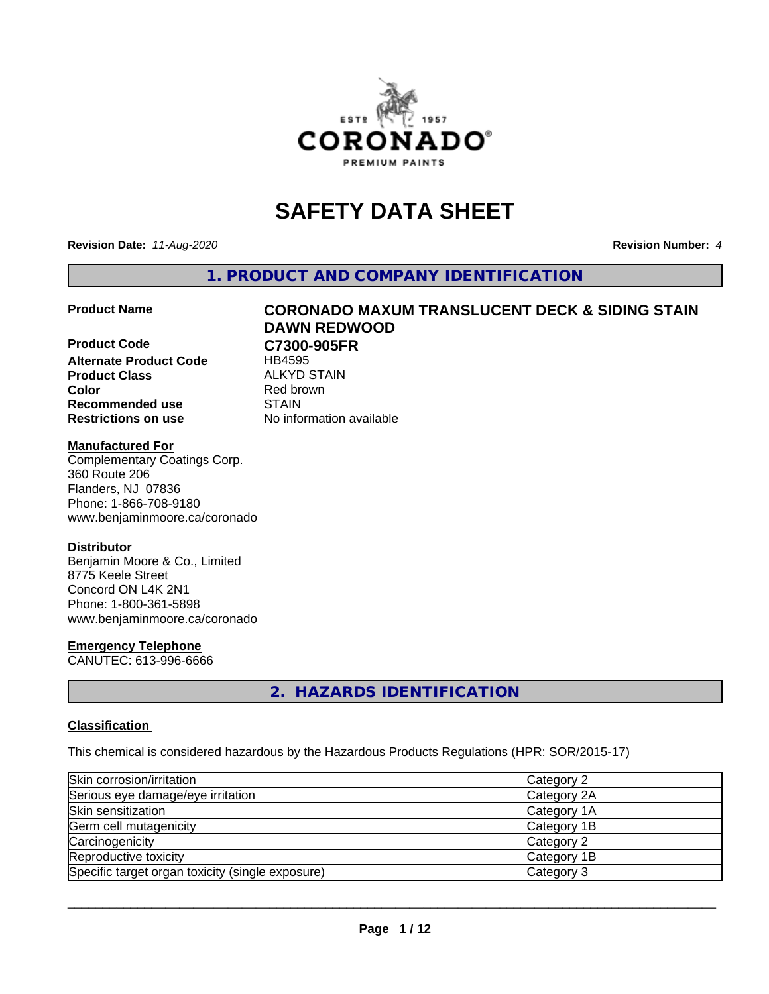

# **SAFETY DATA SHEET**

**Revision Date:** *11-Aug-2020* **Revision Number:** *4*

**1. PRODUCT AND COMPANY IDENTIFICATION**

**Product Code C7300-905FR Alternate Product Code** HB4595 **Product Class** ALKYD STAIN<br> **Color** Red brown **Recommended use STAIN Restrictions on use** No information available

# **Product Name CORONADO MAXUM TRANSLUCENT DECK & SIDING STAIN DAWN REDWOOD**

**Red brown** 

## **Manufactured For**

Complementary Coatings Corp. 360 Route 206 Flanders, NJ 07836 Phone: 1-866-708-9180 www.benjaminmoore.ca/coronado

## **Distributor**

Benjamin Moore & Co., Limited 8775 Keele Street Concord ON L4K 2N1 Phone: 1-800-361-5898 www.benjaminmoore.ca/coronado

## **Emergency Telephone**

CANUTEC: 613-996-6666

## **2. HAZARDS IDENTIFICATION**

## **Classification**

This chemical is considered hazardous by the Hazardous Products Regulations (HPR: SOR/2015-17)

| Skin corrosion/irritation                        | Category 2  |
|--------------------------------------------------|-------------|
| Serious eye damage/eye irritation                | Category 2A |
| Skin sensitization                               | Category 1A |
| Germ cell mutagenicity                           | Category 1B |
| Carcinogenicity                                  | Category 2  |
| Reproductive toxicity                            | Category 1B |
| Specific target organ toxicity (single exposure) | Category 3  |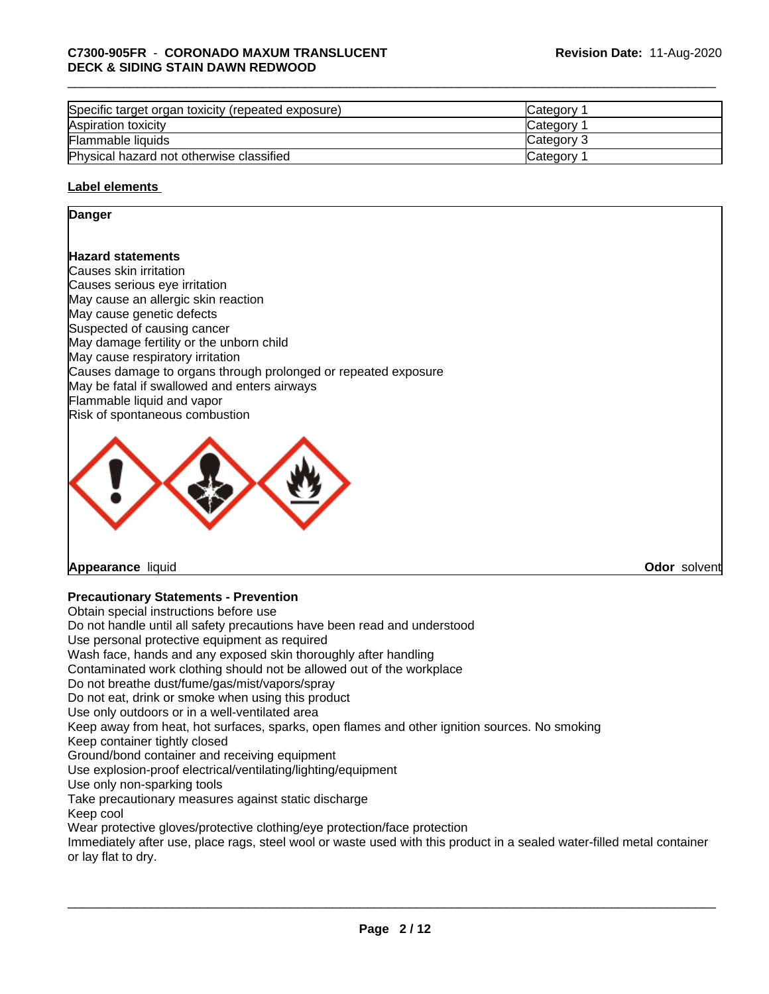| Specific target organ toxicity (repeated exposure) | <b>ICategory</b> |
|----------------------------------------------------|------------------|
| Aspiration toxicity                                | <b>Category</b>  |
| Flammable liquids                                  | Category 3       |
| Physical hazard not otherwise classified           | Category         |

## **Label elements**

## **Danger**

## **Hazard statements**

Causes skin irritation Causes serious eye irritation May cause an allergic skin reaction May cause genetic defects Suspected of causing cancer May damage fertility or the unborn child May cause respiratory irritation Causes damage to organs through prolonged or repeated exposure May be fatal if swallowed and enters airways Flammable liquid and vapor Risk of spontaneous combustion



## **Appearance** liquid **Odor** solvent

## **Precautionary Statements - Prevention**

Obtain special instructions before use Do not handle until all safety precautions have been read and understood Use personal protective equipment as required Wash face, hands and any exposed skin thoroughly after handling Contaminated work clothing should not be allowed out of the workplace Do not breathe dust/fume/gas/mist/vapors/spray Do not eat, drink or smoke when using this product Use only outdoors or in a well-ventilated area Keep away from heat, hot surfaces, sparks, open flames and other ignition sources. No smoking Keep container tightly closed Ground/bond container and receiving equipment Use explosion-proof electrical/ventilating/lighting/equipment Use only non-sparking tools Take precautionary measures against static discharge Keep cool Wear protective gloves/protective clothing/eye protection/face protection Immediately after use, place rags, steel wool or waste used with this product in a sealed water-filled metal container or lay flat to dry.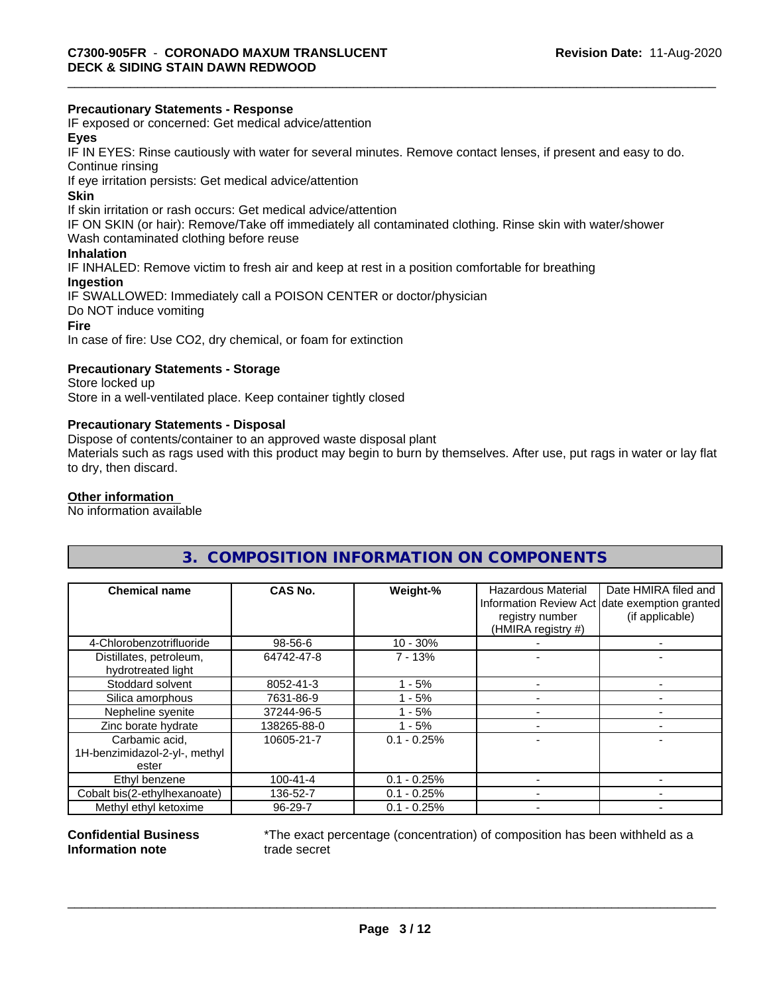## **Precautionary Statements - Response**

IF exposed or concerned: Get medical advice/attention

## **Eyes**

IF IN EYES: Rinse cautiously with water forseveral minutes. Remove contact lenses, if present and easy to do. Continue rinsing

If eye irritation persists: Get medical advice/attention

#### **Skin**

If skin irritation or rash occurs: Get medical advice/attention

IF ON SKIN (or hair): Remove/Take off immediately all contaminated clothing. Rinse skin with water/shower

Wash contaminated clothing before reuse

## **Inhalation**

IF INHALED: Remove victim to fresh air and keep at rest in a position comfortable for breathing

## **Ingestion**

IF SWALLOWED: Immediately call a POISON CENTER or doctor/physician Do NOT induce vomiting **Fire**

In case of fire: Use CO2, dry chemical, or foam for extinction

## **Precautionary Statements - Storage**

Store locked up Store in a well-ventilated place. Keep container tightly closed

## **Precautionary Statements - Disposal**

Dispose of contents/container to an approved waste disposal plant

Materials such as rags used with this product may begin to burn by themselves. After use, put rags in water or lay flat to dry, then discard.

## **Other information**

No information available

## **3. COMPOSITION INFORMATION ON COMPONENTS**

| <b>Chemical name</b>                          | CAS No.        | Weight-%      | <b>Hazardous Material</b><br>registry number<br>(HMIRA registry #) | Date HMIRA filed and<br>Information Review Act date exemption granted<br>(if applicable) |
|-----------------------------------------------|----------------|---------------|--------------------------------------------------------------------|------------------------------------------------------------------------------------------|
| 4-Chlorobenzotrifluoride                      | 98-56-6        | $10 - 30%$    |                                                                    |                                                                                          |
| Distillates, petroleum,<br>hydrotreated light | 64742-47-8     | $7 - 13%$     |                                                                    |                                                                                          |
| Stoddard solvent                              | 8052-41-3      | - 5%          |                                                                    |                                                                                          |
| Silica amorphous                              | 7631-86-9      | $1 - 5%$      |                                                                    |                                                                                          |
| Nepheline syenite                             | 37244-96-5     | $-5%$         |                                                                    |                                                                                          |
| Zinc borate hydrate                           | 138265-88-0    | - 5%          |                                                                    |                                                                                          |
| Carbamic acid,                                | 10605-21-7     | $0.1 - 0.25%$ |                                                                    |                                                                                          |
| 1H-benzimidazol-2-yl-, methyl<br>ester        |                |               |                                                                    |                                                                                          |
| Ethyl benzene                                 | $100 - 41 - 4$ | $0.1 - 0.25%$ |                                                                    |                                                                                          |
| Cobalt bis(2-ethylhexanoate)                  | 136-52-7       | $0.1 - 0.25%$ |                                                                    |                                                                                          |
| Methyl ethyl ketoxime                         | 96-29-7        | $0.1 - 0.25%$ |                                                                    |                                                                                          |

#### **Confidential Business Information note**

\*The exact percentage (concentration) of composition has been withheld as a trade secret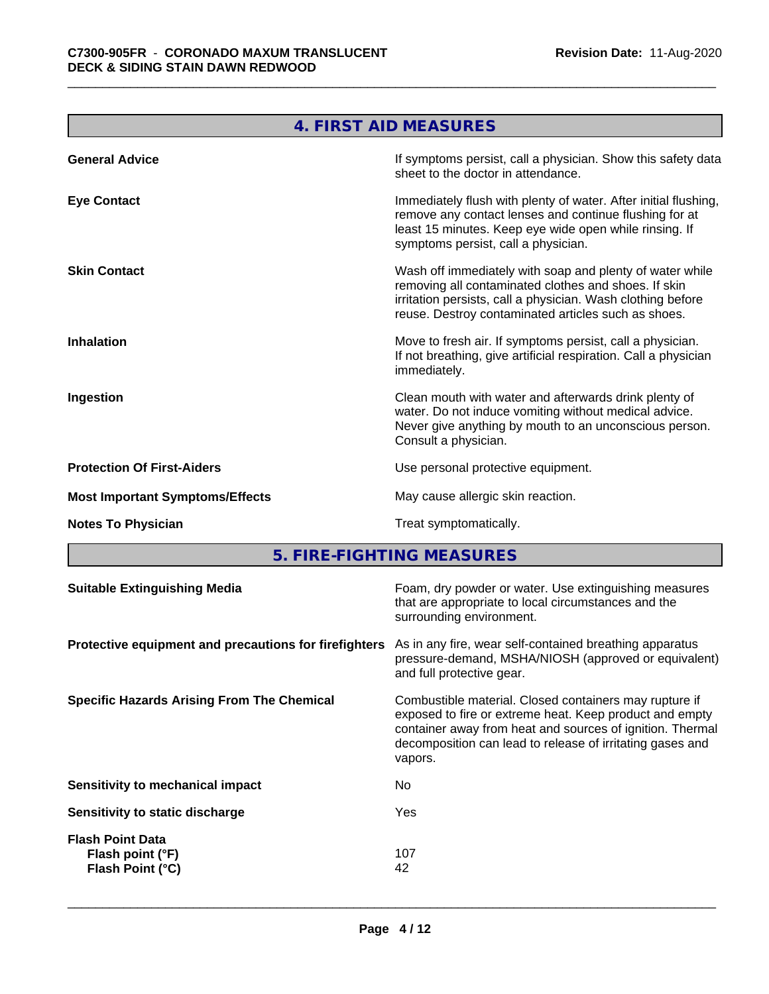and the control of the control of the control of the control of the control of

J.

| If symptoms persist, call a physician. Show this safety data<br><b>General Advice</b><br>sheet to the doctor in attendance.                                                                                                                                   |  |
|---------------------------------------------------------------------------------------------------------------------------------------------------------------------------------------------------------------------------------------------------------------|--|
|                                                                                                                                                                                                                                                               |  |
| Immediately flush with plenty of water. After initial flushing,<br><b>Eye Contact</b><br>remove any contact lenses and continue flushing for at<br>least 15 minutes. Keep eye wide open while rinsing. If<br>symptoms persist, call a physician.              |  |
| Wash off immediately with soap and plenty of water while<br><b>Skin Contact</b><br>removing all contaminated clothes and shoes. If skin<br>irritation persists, call a physician. Wash clothing before<br>reuse. Destroy contaminated articles such as shoes. |  |
| Move to fresh air. If symptoms persist, call a physician.<br><b>Inhalation</b><br>If not breathing, give artificial respiration. Call a physician<br>immediately.                                                                                             |  |
| Clean mouth with water and afterwards drink plenty of<br>Ingestion<br>water. Do not induce vomiting without medical advice.<br>Never give anything by mouth to an unconscious person.<br>Consult a physician.                                                 |  |
| <b>Protection Of First-Aiders</b><br>Use personal protective equipment.                                                                                                                                                                                       |  |
| May cause allergic skin reaction.<br><b>Most Important Symptoms/Effects</b>                                                                                                                                                                                   |  |
| Treat symptomatically.<br><b>Notes To Physician</b>                                                                                                                                                                                                           |  |

**5. FIRE-FIGHTING MEASURES 1999 THE SET IN A SET IN A SET IN A SET I**N A SET IN A SET IN A SET IN A SET IN A SET IN

| <b>Suitable Extinguishing Media</b>                                          | Foam, dry powder or water. Use extinguishing measures<br>that are appropriate to local circumstances and the<br>surrounding environment.                                                                                                    |
|------------------------------------------------------------------------------|---------------------------------------------------------------------------------------------------------------------------------------------------------------------------------------------------------------------------------------------|
| Protective equipment and precautions for firefighters                        | As in any fire, wear self-contained breathing apparatus<br>pressure-demand, MSHA/NIOSH (approved or equivalent)<br>and full protective gear.                                                                                                |
| <b>Specific Hazards Arising From The Chemical</b><br>vapors.                 | Combustible material. Closed containers may rupture if<br>exposed to fire or extreme heat. Keep product and empty<br>container away from heat and sources of ignition. Thermal<br>decomposition can lead to release of irritating gases and |
| No.<br>Sensitivity to mechanical impact                                      |                                                                                                                                                                                                                                             |
| Yes<br>Sensitivity to static discharge                                       |                                                                                                                                                                                                                                             |
| <b>Flash Point Data</b><br>107<br>Flash point (°F)<br>Flash Point (°C)<br>42 |                                                                                                                                                                                                                                             |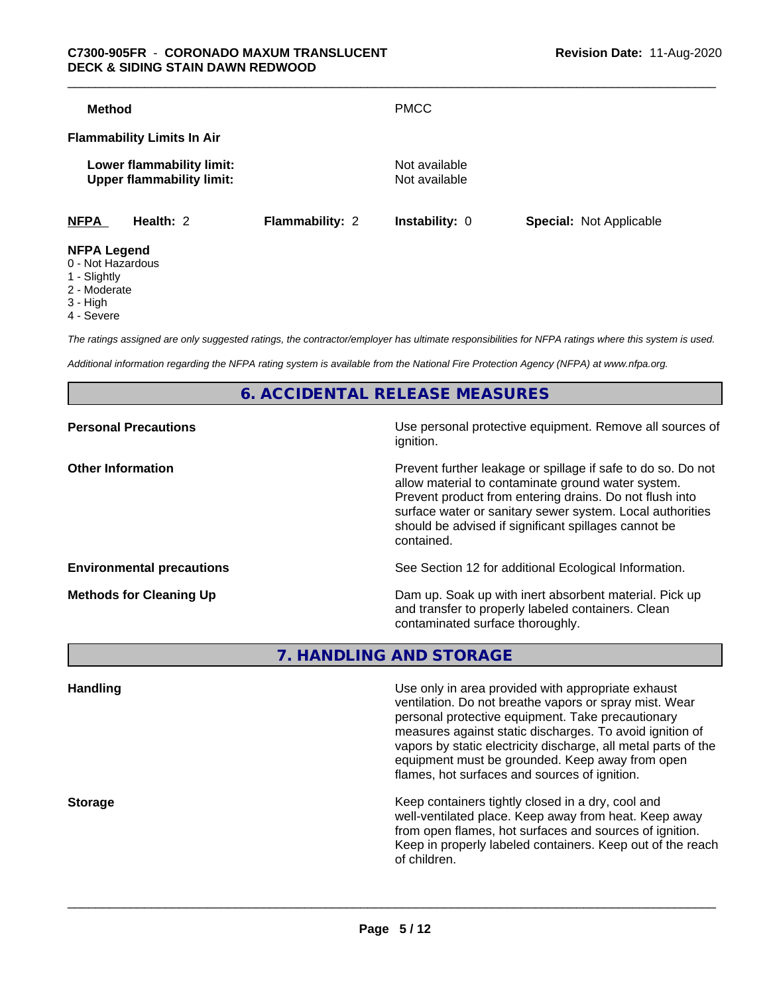| <b>Method</b>      |                                                               |                        | <b>PMCC</b>                    |                                |
|--------------------|---------------------------------------------------------------|------------------------|--------------------------------|--------------------------------|
|                    | <b>Flammability Limits In Air</b>                             |                        |                                |                                |
|                    | Lower flammability limit:<br><b>Upper flammability limit:</b> |                        | Not available<br>Not available |                                |
| <b>NFPA</b>        | Health: 2                                                     | <b>Flammability: 2</b> | <b>Instability: 0</b>          | <b>Special: Not Applicable</b> |
| <b>NFPA Legend</b> |                                                               |                        |                                |                                |

- 0 Not Hazardous
- 1 Slightly
- 2 Moderate
- 3 High
- 4 Severe

*The ratings assigned are only suggested ratings, the contractor/employer has ultimate responsibilities for NFPA ratings where this system is used.*

*Additional information regarding the NFPA rating system is available from the National Fire Protection Agency (NFPA) at www.nfpa.org.*

**6. ACCIDENTAL RELEASE MEASURES**

| Use personal protective equipment. Remove all sources of<br>ignition.                                                                                                                                                                                                                                            |
|------------------------------------------------------------------------------------------------------------------------------------------------------------------------------------------------------------------------------------------------------------------------------------------------------------------|
| Prevent further leakage or spillage if safe to do so. Do not<br>allow material to contaminate ground water system.<br>Prevent product from entering drains. Do not flush into<br>surface water or sanitary sewer system. Local authorities<br>should be advised if significant spillages cannot be<br>contained. |
| See Section 12 for additional Ecological Information.                                                                                                                                                                                                                                                            |
| Dam up. Soak up with inert absorbent material. Pick up<br>and transfer to properly labeled containers. Clean<br>contaminated surface thoroughly.                                                                                                                                                                 |
|                                                                                                                                                                                                                                                                                                                  |

**7. HANDLING AND STORAGE**

| <b>Handling</b> | Use only in area provided with appropriate exhaust<br>ventilation. Do not breathe vapors or spray mist. Wear<br>personal protective equipment. Take precautionary<br>measures against static discharges. To avoid ignition of<br>vapors by static electricity discharge, all metal parts of the<br>equipment must be grounded. Keep away from open<br>flames, hot surfaces and sources of ignition. |
|-----------------|-----------------------------------------------------------------------------------------------------------------------------------------------------------------------------------------------------------------------------------------------------------------------------------------------------------------------------------------------------------------------------------------------------|
| <b>Storage</b>  | Keep containers tightly closed in a dry, cool and<br>well-ventilated place. Keep away from heat. Keep away<br>from open flames, hot surfaces and sources of ignition.<br>Keep in properly labeled containers. Keep out of the reach<br>of children.                                                                                                                                                 |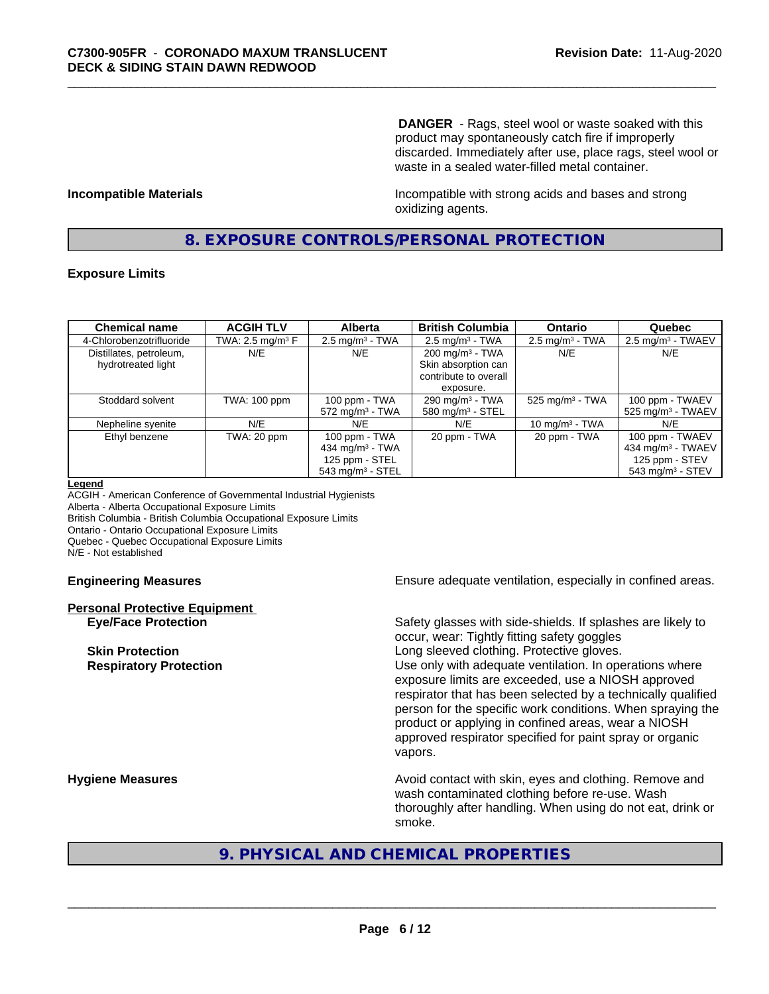**DANGER** - Rags, steel wool or waste soaked with this product may spontaneously catch fire if improperly discarded. Immediately after use, place rags, steel wool or waste in a sealed water-filled metal container.

**Incompatible Materials Incompatible with strong acids and bases and strong** oxidizing agents.

## **8. EXPOSURE CONTROLS/PERSONAL PROTECTION**

## **Exposure Limits**

| <b>Chemical name</b>     | <b>ACGIH TLV</b>    | <b>Alberta</b>                 | <b>British Columbia</b>      | <b>Ontario</b>                | Quebec                          |
|--------------------------|---------------------|--------------------------------|------------------------------|-------------------------------|---------------------------------|
| 4-Chlorobenzotrifluoride | TWA: 2.5 mg/m $3$ F | $2.5$ mg/m <sup>3</sup> - TWA  | $2.5 \text{ mg/m}^3$ - TWA   | $2.5 \text{ mg/m}^3$ - TWA    | $2.5 \text{ mg/m}^3$ - TWAEV    |
| Distillates, petroleum,  | N/E                 | N/E                            | $200 \text{ mg/m}^3$ - TWA   | N/E                           | N/E                             |
| hydrotreated light       |                     |                                | Skin absorption can          |                               |                                 |
|                          |                     |                                | contribute to overall        |                               |                                 |
|                          |                     |                                | exposure.                    |                               |                                 |
| Stoddard solvent         | TWA: 100 ppm        | 100 ppm - TWA                  | 290 mg/m $3$ - TWA           | $525$ mg/m <sup>3</sup> - TWA | 100 ppm - TWAEV                 |
|                          |                     | $572$ mg/m <sup>3</sup> - TWA  | 580 mg/m <sup>3</sup> - STEL |                               | $525$ mg/m <sup>3</sup> - TWAEV |
| Nepheline syenite        | N/E                 | N/E                            | N/E                          | 10 mg/m $3$ - TWA             | N/E                             |
| Ethyl benzene            | TWA: 20 ppm         | 100 ppm - TWA                  | 20 ppm - TWA                 | 20 ppm - TWA                  | 100 ppm - TWAEV                 |
|                          |                     | 434 mg/m $3$ - TWA             |                              |                               | 434 mg/m <sup>3</sup> - TWAEV   |
|                          |                     | 125 ppm - STEL                 |                              |                               | 125 ppm - STEV                  |
|                          |                     | $543$ mg/m <sup>3</sup> - STEL |                              |                               | $543$ mg/m <sup>3</sup> - STEV  |

#### **Legend**

ACGIH - American Conference of Governmental Industrial Hygienists Alberta - Alberta Occupational Exposure Limits British Columbia - British Columbia Occupational Exposure Limits Ontario - Ontario Occupational Exposure Limits Quebec - Quebec Occupational Exposure Limits N/E - Not established

# **Personal Protective Equipment**

**Engineering Measures Ensure** Ensure adequate ventilation, especially in confined areas.

**Eye/Face Protection** Safety glasses with side-shields. If splashes are likely to occur, wear: Tightly fitting safety goggles **Skin Protection Skin Protection Skin Protective gloves.** Long sleeved clothing. Protective gloves. **Respiratory Protection Number 1** (Use only with adequate ventilation. In operations where exposure limits are exceeded, use a NIOSH approved respirator that has been selected by a technically qualified person for the specific work conditions. When spraying the product or applying in confined areas, wear a NIOSH approved respirator specified for paint spray or organic vapors.

**Hygiene Measures Avoid contact with skin, eyes and clothing. Remove and Avoid contact with skin, eyes and clothing. Remove and** wash contaminated clothing before re-use. Wash thoroughly after handling. When using do not eat, drink or smoke.

## **9. PHYSICAL AND CHEMICAL PROPERTIES**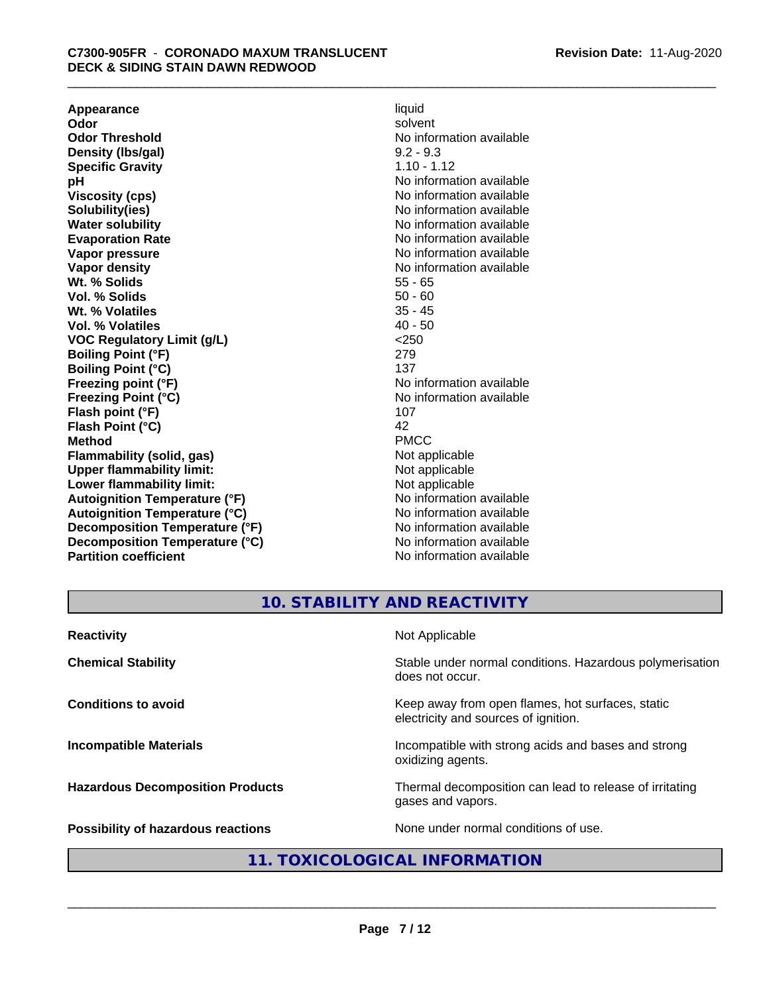**Appearance** liquid and **a liquid development of the set of the set of the set of the set of the set of the set of the set of the set of the set of the set of the set of the set of the set of the set of the set of the set Odor** solvent **Odor Threshold** No information available **Density (Ibs/gal)** 9.2 - 9.3<br> **Specific Gravity** 1.10 - 1.12 **Specific Gravity**<br>pH **Viscosity (cps)** No information available **Solubility(ies)** No information available **Water solubility** No information available **Evaporation Rate No information available No information available Vapor pressure** No information available **Vapor density No information available No** information available **Wt. % Solids** 55 - 65<br> **Vol. % Solids** 50 - 60 **Vol. % Solids** 50 - 60 **Wt. % Volatiles Vol. % Volatiles** 40 - 50 **VOC Regulatory Limit (g/L)** <250 **Boiling Point (°F)** 279 **Boiling Point (°C)** 137<br> **Preezing point (°F)** No interval 137 **Freezing Point (°C)** and **COV** No information available **Flash point (°F)** 107 **Flash Point (°C)** 42 **Method** PMCC **Flammability (solid, gas)**<br> **Commability limit:**<br>
Upper flammability limit:<br>
Not applicable **Upper flammability limit:**<br> **Lower flammability limit:**<br>
Not applicable<br>
Not applicable **Lower flammability limit:**<br> **Autoianition Temperature (°F)** Not applicable Not applicable not a Not applicable **Autoignition Temperature (°F) Autoignition Temperature (°C)** No information available **Decomposition Temperature (°F)** No information available **Decomposition Temperature (°C)** No information available **Partition coefficient** No information available

**No information available No information available** 

## **10. STABILITY AND REACTIVITY**

| <b>Reactivity</b>                         | Not Applicable                                                                           |
|-------------------------------------------|------------------------------------------------------------------------------------------|
| <b>Chemical Stability</b>                 | Stable under normal conditions. Hazardous polymerisation<br>does not occur.              |
| <b>Conditions to avoid</b>                | Keep away from open flames, hot surfaces, static<br>electricity and sources of ignition. |
| <b>Incompatible Materials</b>             | Incompatible with strong acids and bases and strong<br>oxidizing agents.                 |
| <b>Hazardous Decomposition Products</b>   | Thermal decomposition can lead to release of irritating<br>gases and vapors.             |
| <b>Possibility of hazardous reactions</b> | None under normal conditions of use.                                                     |

## **11. TOXICOLOGICAL INFORMATION**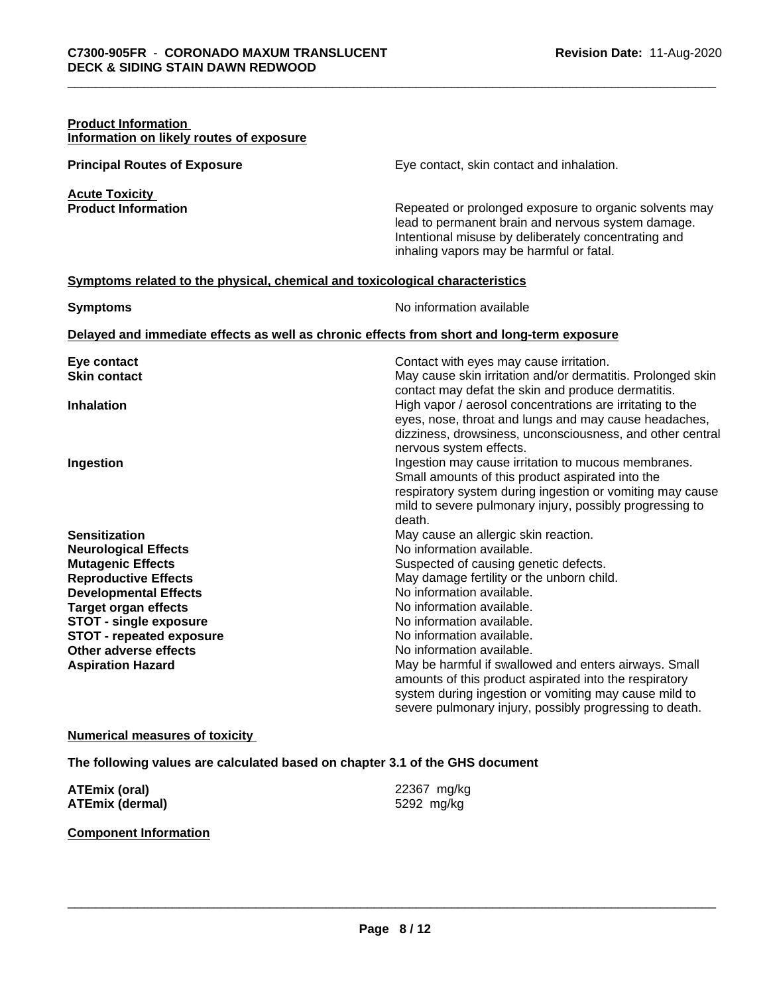| <b>Product Information</b><br>Information on likely routes of exposure                                                                                                                                                                                                                                 |                                                                                                                                                                                                                                                                                                                                                                                                                                                                                                                                                 |
|--------------------------------------------------------------------------------------------------------------------------------------------------------------------------------------------------------------------------------------------------------------------------------------------------------|-------------------------------------------------------------------------------------------------------------------------------------------------------------------------------------------------------------------------------------------------------------------------------------------------------------------------------------------------------------------------------------------------------------------------------------------------------------------------------------------------------------------------------------------------|
| <b>Principal Routes of Exposure</b>                                                                                                                                                                                                                                                                    | Eye contact, skin contact and inhalation.                                                                                                                                                                                                                                                                                                                                                                                                                                                                                                       |
| <b>Acute Toxicity</b><br><b>Product Information</b>                                                                                                                                                                                                                                                    | Repeated or prolonged exposure to organic solvents may<br>lead to permanent brain and nervous system damage.<br>Intentional misuse by deliberately concentrating and<br>inhaling vapors may be harmful or fatal.                                                                                                                                                                                                                                                                                                                                |
| Symptoms related to the physical, chemical and toxicological characteristics                                                                                                                                                                                                                           |                                                                                                                                                                                                                                                                                                                                                                                                                                                                                                                                                 |
| <b>Symptoms</b>                                                                                                                                                                                                                                                                                        | No information available                                                                                                                                                                                                                                                                                                                                                                                                                                                                                                                        |
|                                                                                                                                                                                                                                                                                                        | Delayed and immediate effects as well as chronic effects from short and long-term exposure                                                                                                                                                                                                                                                                                                                                                                                                                                                      |
| Eye contact<br><b>Skin contact</b>                                                                                                                                                                                                                                                                     | Contact with eyes may cause irritation.<br>May cause skin irritation and/or dermatitis. Prolonged skin                                                                                                                                                                                                                                                                                                                                                                                                                                          |
| <b>Inhalation</b>                                                                                                                                                                                                                                                                                      | contact may defat the skin and produce dermatitis.<br>High vapor / aerosol concentrations are irritating to the<br>eyes, nose, throat and lungs and may cause headaches,<br>dizziness, drowsiness, unconsciousness, and other central<br>nervous system effects.                                                                                                                                                                                                                                                                                |
| Ingestion                                                                                                                                                                                                                                                                                              | Ingestion may cause irritation to mucous membranes.<br>Small amounts of this product aspirated into the<br>respiratory system during ingestion or vomiting may cause<br>mild to severe pulmonary injury, possibly progressing to<br>death.                                                                                                                                                                                                                                                                                                      |
| <b>Sensitization</b><br><b>Neurological Effects</b><br><b>Mutagenic Effects</b><br><b>Reproductive Effects</b><br><b>Developmental Effects</b><br><b>Target organ effects</b><br><b>STOT - single exposure</b><br><b>STOT - repeated exposure</b><br>Other adverse effects<br><b>Aspiration Hazard</b> | May cause an allergic skin reaction.<br>No information available.<br>Suspected of causing genetic defects.<br>May damage fertility or the unborn child.<br>No information available.<br>No information available.<br>No information available.<br>No information available.<br>No information available.<br>May be harmful if swallowed and enters airways. Small<br>amounts of this product aspirated into the respiratory<br>system during ingestion or vomiting may cause mild to<br>severe pulmonary injury, possibly progressing to death. |

## **Numerical measures of toxicity**

**The following values are calculated based on chapter 3.1 of the GHS document**

| <b>ATEmix (oral)</b>   | 22367 mg/kg |
|------------------------|-------------|
| <b>ATEmix (dermal)</b> | 5292 mg/kg  |

## **Component Information**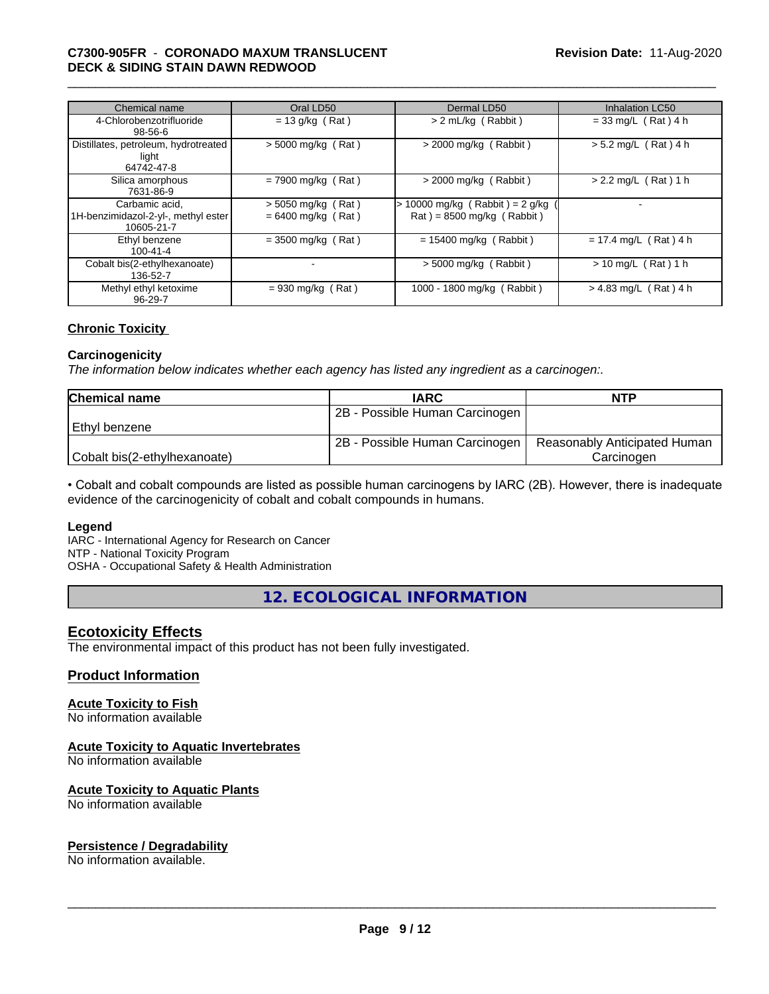## \_\_\_\_\_\_\_\_\_\_\_\_\_\_\_\_\_\_\_\_\_\_\_\_\_\_\_\_\_\_\_\_\_\_\_\_\_\_\_\_\_\_\_\_\_\_\_\_\_\_\_\_\_\_\_\_\_\_\_\_\_\_\_\_\_\_\_\_\_\_\_\_\_\_\_\_\_\_\_\_\_\_\_\_\_\_\_\_\_\_\_\_\_ **C7300-905FR** - **CORONADO MAXUM TRANSLUCENT DECK & SIDING STAIN DAWN REDWOOD**

| Chemical name                                                       | Oral LD50                                    | Dermal LD50                                                    | <b>Inhalation LC50</b>  |
|---------------------------------------------------------------------|----------------------------------------------|----------------------------------------------------------------|-------------------------|
| 4-Chlorobenzotrifluoride<br>$98 - 56 - 6$                           | $= 13$ g/kg (Rat)                            | > 2 mL/kg (Rabbit)                                             | $= 33$ mg/L (Rat) 4 h   |
| Distillates, petroleum, hydrotreated<br>light<br>64742-47-8         | $> 5000$ mg/kg (Rat)                         | $>$ 2000 mg/kg (Rabbit)                                        | $> 5.2$ mg/L (Rat) 4 h  |
| Silica amorphous<br>7631-86-9                                       | $= 7900$ mg/kg (Rat)                         | $>$ 2000 mg/kg (Rabbit)                                        | $> 2.2$ mg/L (Rat) 1 h  |
| Carbamic acid.<br>1H-benzimidazol-2-yl-, methyl ester<br>10605-21-7 | $> 5050$ mg/kg (Rat)<br>$= 6400$ mg/kg (Rat) | > 10000 mg/kg (Rabbit) = 2 g/kg<br>$Rat$ = 8500 mg/kg (Rabbit) |                         |
| Ethyl benzene<br>$100 - 41 - 4$                                     | $= 3500$ mg/kg (Rat)                         | $= 15400$ mg/kg (Rabbit)                                       | $= 17.4$ mg/L (Rat) 4 h |
| Cobalt bis(2-ethylhexanoate)<br>136-52-7                            |                                              | $>$ 5000 mg/kg (Rabbit)                                        | $> 10$ mg/L (Rat) 1 h   |
| Methyl ethyl ketoxime<br>$96 - 29 - 7$                              | $= 930$ mg/kg (Rat)                          | 1000 - 1800 mg/kg (Rabbit)                                     | $> 4.83$ mg/L (Rat) 4 h |

## **Chronic Toxicity**

#### **Carcinogenicity**

*The information below indicateswhether each agency has listed any ingredient as a carcinogen:.*

| <b>Chemical name</b>         | <b>IARC</b>                    | <b>NTP</b>                   |
|------------------------------|--------------------------------|------------------------------|
|                              | 2B - Possible Human Carcinogen |                              |
| l Ethvl benzene              |                                |                              |
|                              | 2B - Possible Human Carcinogen | Reasonably Anticipated Human |
| Cobalt bis(2-ethylhexanoate) |                                | Carcinoɑen                   |

• Cobalt and cobalt compounds are listed as possible human carcinogens by IARC (2B). However, there is inadequate evidence of the carcinogenicity of cobalt and cobalt compounds in humans.

#### **Legend**

IARC - International Agency for Research on Cancer NTP - National Toxicity Program

OSHA - Occupational Safety & Health Administration

**12. ECOLOGICAL INFORMATION**

## **Ecotoxicity Effects**

The environmental impact of this product has not been fully investigated.

## **Product Information**

## **Acute Toxicity to Fish**

No information available

## **Acute Toxicity to Aquatic Invertebrates**

No information available

## **Acute Toxicity to Aquatic Plants**

No information available

## **Persistence / Degradability**

No information available.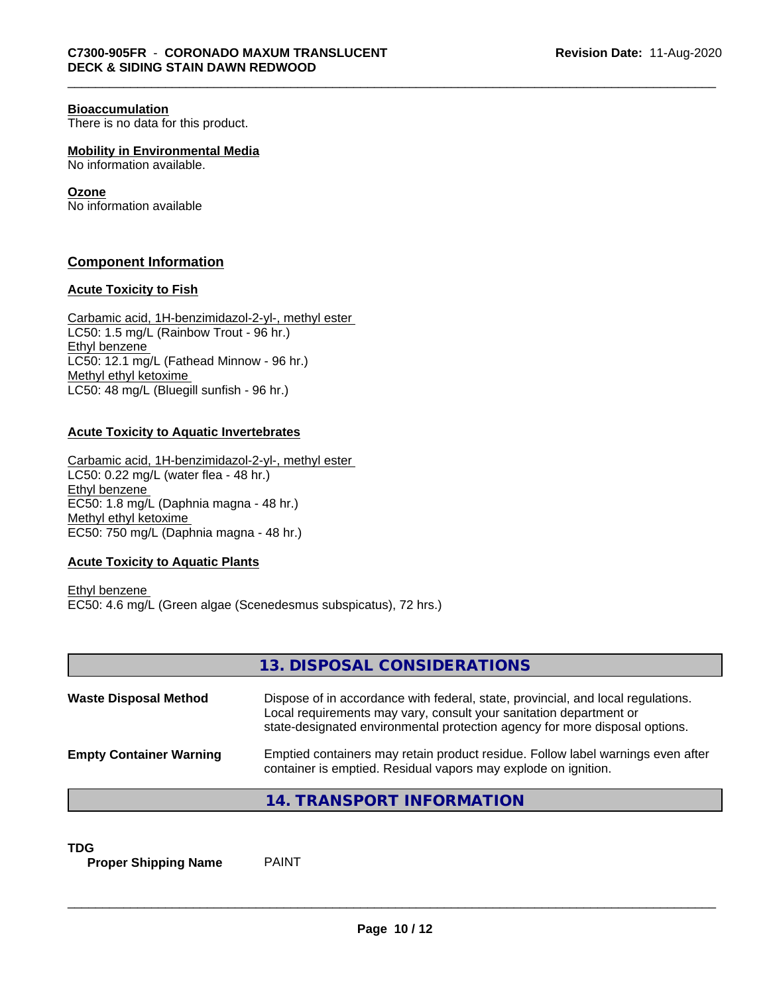#### **Bioaccumulation**

There is no data for this product.

**Mobility in Environmental Media**

No information available.

## **Ozone**

No information available

## **Component Information**

## **Acute Toxicity to Fish**

Carbamic acid, 1H-benzimidazol-2-yl-, methyl ester LC50: 1.5 mg/L (Rainbow Trout - 96 hr.) Ethyl benzene LC50: 12.1 mg/L (Fathead Minnow - 96 hr.) Methyl ethyl ketoxime LC50: 48 mg/L (Bluegill sunfish - 96 hr.)

## **Acute Toxicity to Aquatic Invertebrates**

Carbamic acid, 1H-benzimidazol-2-yl-, methyl ester LC50: 0.22 mg/L (water flea - 48 hr.) Ethyl benzene EC50: 1.8 mg/L (Daphnia magna - 48 hr.) Methyl ethyl ketoxime EC50: 750 mg/L (Daphnia magna - 48 hr.)

## **Acute Toxicity to Aquatic Plants**

Ethyl benzene EC50: 4.6 mg/L (Green algae (Scenedesmus subspicatus), 72 hrs.)

|                                | 13. DISPOSAL CONSIDERATIONS                                                                                                                                                                                                           |
|--------------------------------|---------------------------------------------------------------------------------------------------------------------------------------------------------------------------------------------------------------------------------------|
| <b>Waste Disposal Method</b>   | Dispose of in accordance with federal, state, provincial, and local regulations.<br>Local requirements may vary, consult your sanitation department or<br>state-designated environmental protection agency for more disposal options. |
| <b>Empty Container Warning</b> | Emptied containers may retain product residue. Follow label warnings even after<br>container is emptied. Residual vapors may explode on ignition.                                                                                     |
|                                | 14. TRANSPORT INFORMATION                                                                                                                                                                                                             |

**TDG**<br>**Proper Shipping Name** PAINT **Proper Shipping Name**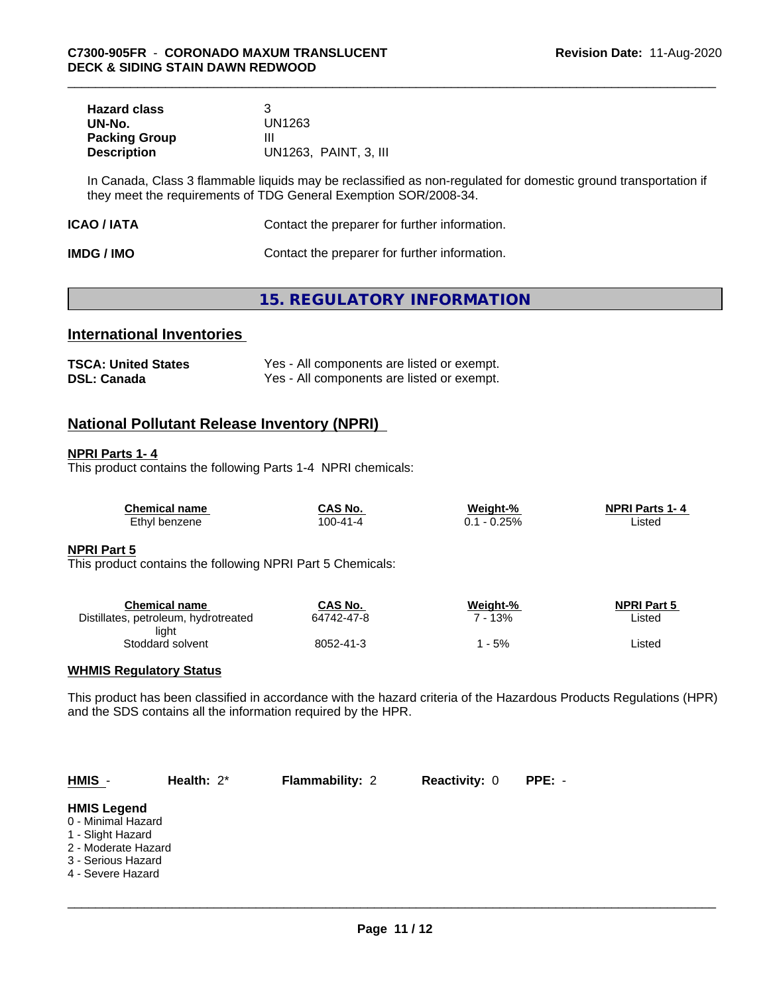| <b>Hazard class</b>  |                       |
|----------------------|-----------------------|
| UN-No.               | UN1263                |
| <b>Packing Group</b> | Ш                     |
| <b>Description</b>   | UN1263, PAINT, 3, III |

In Canada, Class 3 flammable liquids may be reclassified as non-regulated for domestic ground transportation if they meet the requirements of TDG General Exemption SOR/2008-34.

| <b>IMDG / IMO</b> | Contact the preparer for further information. |
|-------------------|-----------------------------------------------|
|-------------------|-----------------------------------------------|

## **15. REGULATORY INFORMATION**

## **International Inventories**

| <b>TSCA: United States</b> | Yes - All components are listed or exempt. |
|----------------------------|--------------------------------------------|
| <b>DSL: Canada</b>         | Yes - All components are listed or exempt. |

## **National Pollutant Release Inventory (NPRI)**

## **NPRI Parts 1- 4**

This product contains the following Parts 1-4 NPRI chemicals:

| <b>Chemical name</b> | CAS No.        | Weight-% | <b>NPRI Parts 1-4</b> |
|----------------------|----------------|----------|-----------------------|
| Ethyl benzene        | $100 - 41 - 4$ | $-0.25%$ | ∟isted                |

## **NPRI Part 5**

This product contains the following NPRI Part 5 Chemicals:

| Chemical name                        | CAS No.    | Weight-% | <b>NPRI Part 5</b> |
|--------------------------------------|------------|----------|--------------------|
| Distillates, petroleum, hydrotreated | 64742-47-8 | 13%      | Listed             |
| light                                |            |          |                    |
| Stoddard solvent                     | 8052-41-3  | - 5%     | Listed             |

## **WHMIS Regulatory Status**

This product has been classified in accordance with the hazard criteria of the Hazardous Products Regulations (HPR) and the SDS contains all the information required by the HPR.

| HMIS -                                                                                                                          | Health: $2^*$ | <b>Flammability: 2</b> | <b>Reactivity: 0</b> | PPE: - |  |
|---------------------------------------------------------------------------------------------------------------------------------|---------------|------------------------|----------------------|--------|--|
| <b>HMIS Legend</b><br>0 - Minimal Hazard<br>1 - Slight Hazard<br>2 - Moderate Hazard<br>3 - Serious Hazard<br>4 - Severe Hazard |               |                        |                      |        |  |
|                                                                                                                                 |               |                        |                      |        |  |